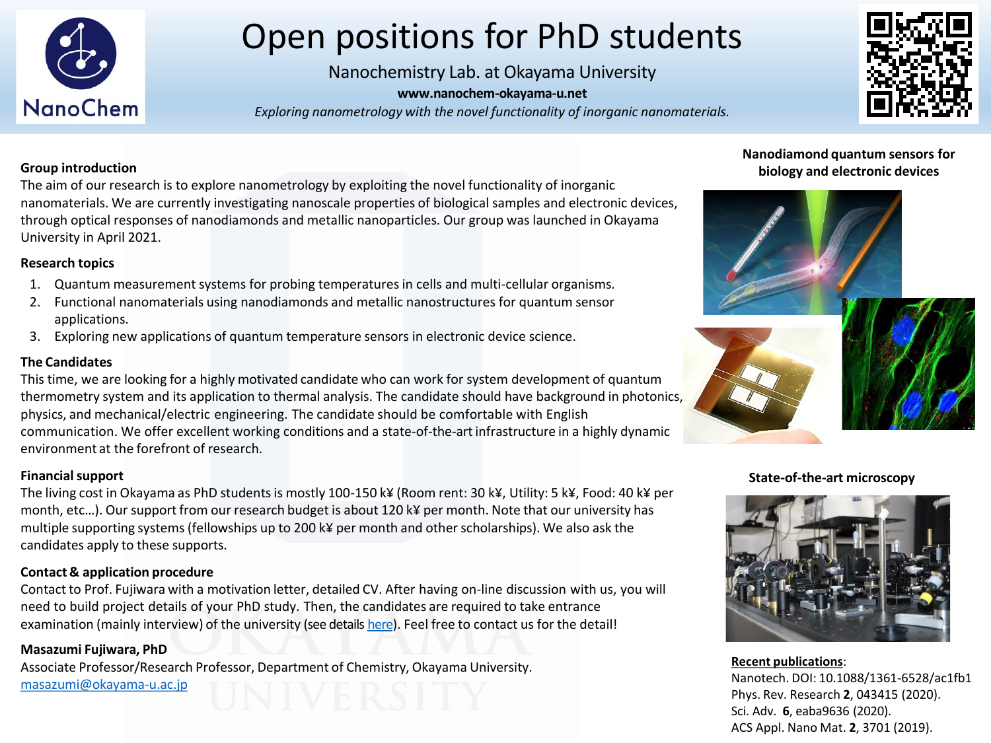

# Open positions for PhD students

Nanochemistry Lab. at Okayama University

**www.nanochem-okayama-u.net**

*Exploring nanometrology with the novel functionality of inorganic nanomaterials.*



#### **Group introduction**

The aim of our research is to explore nanometrology by exploiting the novel functionality of inorganic nanomaterials. We are currently investigating nanoscale properties of biological samples and electronic devices, through optical responses of nanodiamonds and metallic nanoparticles. Our group was launched in Okayama University in April 2021.

#### **Research topics**

- 1. Quantum measurement systems for probing temperatures in cells and multi-cellular organisms.
- 2. Functional nanomaterials using nanodiamonds and metallic nanostructures for quantum sensor applications.
- 3. Exploring new applications of quantum temperature sensors in electronic device science.

## **The Candidates**

This time, we are looking for a highly motivated candidate who can work for system development of quantum thermometry system and its application to thermal analysis. The candidate should have background in photonics, physics, and mechanical/electric engineering. The candidate should be comfortable with English communication. We offer excellent working conditions and a state-of-the-artinfrastructure in a highly dynamic environment at the forefront of research.

## **Financialsupport**

The living cost in Okayama as PhD students is mostly 100-150 k¥ (Room rent: 30 k¥, Utility: 5 k¥, Food: 40 k¥ per month, etc…). Our support from our research budget is about 120 k¥ per month. Note that our university has multiple supporting systems (fellowships up to 200 k¥ per month and other scholarships). We also ask the candidates apply to these supports.

# **Contact & application procedure**

Contact to Prof. Fujiwara with a motivation letter, detailed CV. After having on-line discussion with us, you will need to build project details of your PhD study. Then, the candidates are required to take entrance examination (mainly interview) of the university (see details [here](https://www.gnst.okayama-u.ac.jp/en/admission/)). Feel free to contact us for the detail!

# **Masazumi Fujiwara, PhD**

Associate Professor/Research Professor, Department of Chemistry, Okayama University. [masazumi@okayama-u.ac.jp](mailto:masazumi@okayama-u.ac.jp)

# **Nanodiamond quantum sensors for biology and electronic devices**



# **State-of-the-art microscopy**



**Recent publications**: Nanotech. DOI: 10.1088/1361-6528/ac1fb1 Phys. Rev. Research **2**, 043415 (2020). Sci. Adv. **6**, eaba9636 (2020). ACS Appl. Nano Mat. **2**, 3701 (2019).